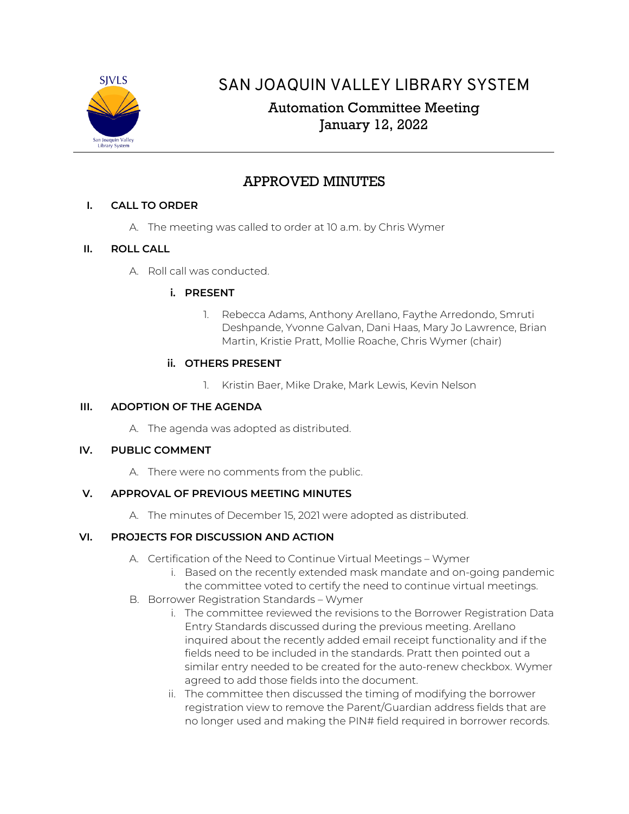

# SAN JOAQUIN VALLEY LIBRARY SYSTEM

# Automation Committee Meeting January 12, 2022

# APPROVED MINUTES

# **I. CALL TO ORDER**

A. The meeting was called to order at 10 a.m. by Chris Wymer

# **II. ROLL CALL**

A. Roll call was conducted.

## **i. PRESENT**

1. Rebecca Adams, Anthony Arellano, Faythe Arredondo, Smruti Deshpande, Yvonne Galvan, Dani Haas, Mary Jo Lawrence, Brian Martin, Kristie Pratt, Mollie Roache, Chris Wymer (chair)

## **ii. OTHERS PRESENT**

1. Kristin Baer, Mike Drake, Mark Lewis, Kevin Nelson

# **III. ADOPTION OF THE AGENDA**

A. The agenda was adopted as distributed.

## **IV. PUBLIC COMMENT**

A. There were no comments from the public.

## **V. APPROVAL OF PREVIOUS MEETING MINUTES**

A. The minutes of December 15, 2021 were adopted as distributed.

# **VI. PROJECTS FOR DISCUSSION AND ACTION**

- A. Certification of the Need to Continue Virtual Meetings Wymer
	- i. Based on the recently extended mask mandate and on-going pandemic the committee voted to certify the need to continue virtual meetings.
- B. Borrower Registration Standards Wymer
	- i. The committee reviewed the revisions to the Borrower Registration Data Entry Standards discussed during the previous meeting. Arellano inquired about the recently added email receipt functionality and if the fields need to be included in the standards. Pratt then pointed out a similar entry needed to be created for the auto-renew checkbox. Wymer agreed to add those fields into the document.
	- ii. The committee then discussed the timing of modifying the borrower registration view to remove the Parent/Guardian address fields that are no longer used and making the PIN# field required in borrower records.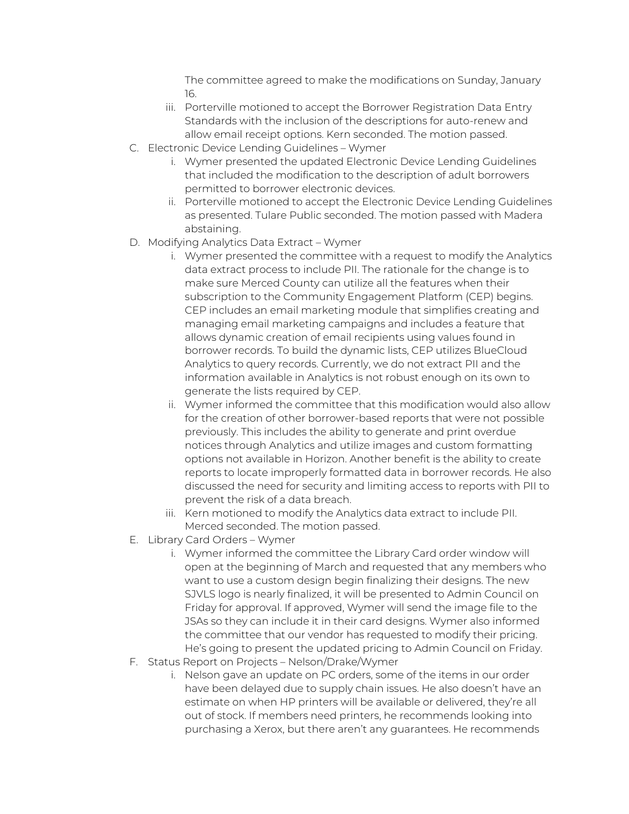The committee agreed to make the modifications on Sunday, January 16.

- iii. Porterville motioned to accept the Borrower Registration Data Entry Standards with the inclusion of the descriptions for auto-renew and allow email receipt options. Kern seconded. The motion passed.
- C. Electronic Device Lending Guidelines Wymer
	- i. Wymer presented the updated Electronic Device Lending Guidelines that included the modification to the description of adult borrowers permitted to borrower electronic devices.
	- ii. Porterville motioned to accept the Electronic Device Lending Guidelines as presented. Tulare Public seconded. The motion passed with Madera abstaining.
- D. Modifying Analytics Data Extract Wymer
	- i. Wymer presented the committee with a request to modify the Analytics data extract process to include PII. The rationale for the change is to make sure Merced County can utilize all the features when their subscription to the Community Engagement Platform (CEP) begins. CEP includes an email marketing module that simplifies creating and managing email marketing campaigns and includes a feature that allows dynamic creation of email recipients using values found in borrower records. To build the dynamic lists, CEP utilizes BlueCloud Analytics to query records. Currently, we do not extract PII and the information available in Analytics is not robust enough on its own to generate the lists required by CEP.
	- ii. Wymer informed the committee that this modification would also allow for the creation of other borrower-based reports that were not possible previously. This includes the ability to generate and print overdue notices through Analytics and utilize images and custom formatting options not available in Horizon. Another benefit is the ability to create reports to locate improperly formatted data in borrower records. He also discussed the need for security and limiting access to reports with PII to prevent the risk of a data breach.
	- iii. Kern motioned to modify the Analytics data extract to include PII. Merced seconded. The motion passed.
- E. Library Card Orders Wymer
	- i. Wymer informed the committee the Library Card order window will open at the beginning of March and requested that any members who want to use a custom design begin finalizing their designs. The new SJVLS logo is nearly finalized, it will be presented to Admin Council on Friday for approval. If approved, Wymer will send the image file to the JSAs so they can include it in their card designs. Wymer also informed the committee that our vendor has requested to modify their pricing. He's going to present the updated pricing to Admin Council on Friday.
- F. Status Report on Projects Nelson/Drake/Wymer
	- i. Nelson gave an update on PC orders, some of the items in our order have been delayed due to supply chain issues. He also doesn't have an estimate on when HP printers will be available or delivered, they're all out of stock. If members need printers, he recommends looking into purchasing a Xerox, but there aren't any guarantees. He recommends